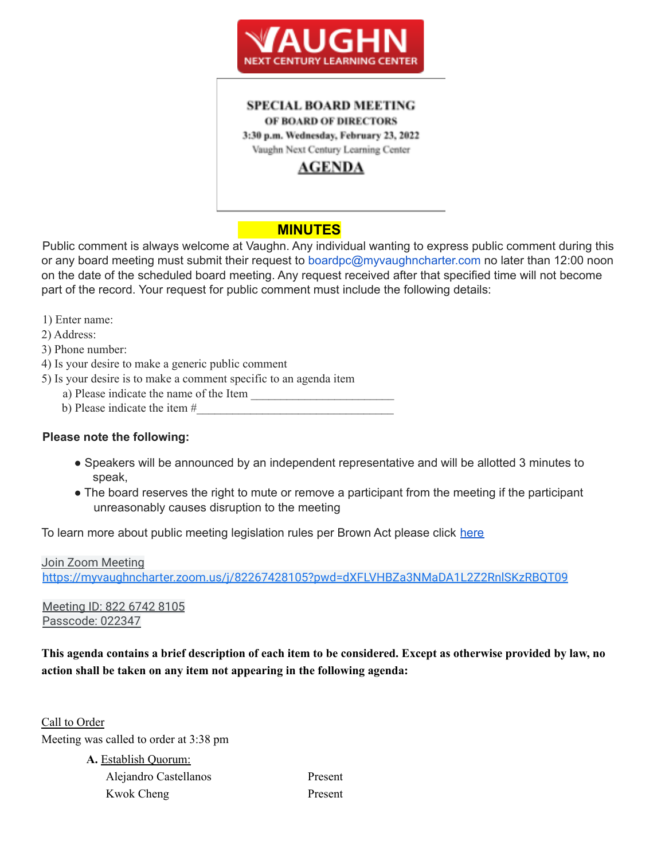

#### **SPECIAL BOARD MEETING** OF BOARD OF DIRECTORS 3:30 p.m. Wednesday, February 23, 2022

Vaughn Next Century Learning Center

## **AGENDA**

# **MINUTES**

Public comment is always welcome at Vaughn. Any individual wanting to express public comment during this or any board meeting must submit their request to boardpc@myvaughncharter.com no later than 12:00 noon on the date of the scheduled board meeting. Any request received after that specified time will not become part of the record. Your request for public comment must include the following details:

1) Enter name:

2) Address:

3) Phone number:

- 4) Is your desire to make a generic public comment
- 5) Is your desire is to make a comment specific to an agenda item
	- a) Please indicate the name of the Item
	- b) Please indicate the item  $#_2$

### **Please note the following:**

- Speakers will be announced by an independent representative and will be allotted 3 minutes to speak,
- The board reserves the right to mute or remove a participant from the meeting if the participant unreasonably causes disruption to the meeting

To learn more about public meeting legislation rules per Brown Act please click here

Join Zoom Meeting https://myvaughncharter.zoom.us/j/82267428105?pwd=dXFLVHBZa3NMaDA1L2Z2RnlSKzRBQT09

Meeting ID: 822 6742 8105 Passcode: 022347

This agenda contains a brief description of each item to be considered. Except as otherwise provided by law, no **action shall be taken on any item not appearing in the following agenda:**

Call to Order Meeting was called to order at 3:38 pm

> **A.** Establish Quorum: Alejandro Castellanos Present Kwok Cheng Present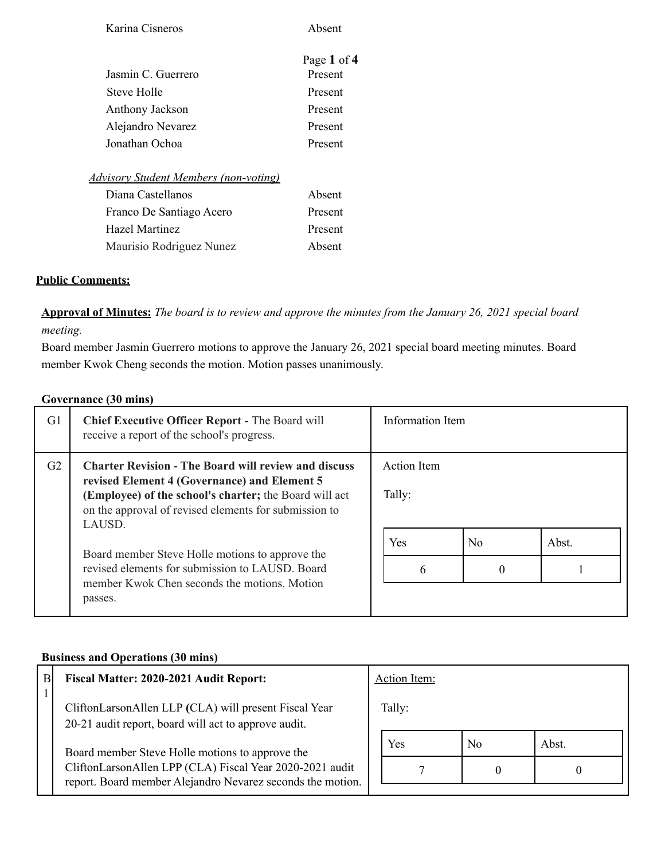| Karina Cisneros                              | Absent      |
|----------------------------------------------|-------------|
|                                              | Page 1 of 4 |
| Jasmin C. Guerrero                           | Present     |
| Steve Holle                                  | Present     |
| Anthony Jackson                              | Present     |
| Alejandro Nevarez                            | Present     |
| Jonathan Ochoa                               | Present     |
| <b>Advisory Student Members (non-voting)</b> |             |
| Diana Castellanos                            | Absent      |
| Franco De Santiago Acero                     | Present     |
| Hazel Martinez                               | Present     |
| Maurisio Rodriguez Nunez                     | Absent      |
|                                              |             |

#### **Public Comments:**

Approval of Minutes: The board is to review and approve the minutes from the January 26, 2021 special board *meeting.*

Board member Jasmin Guerrero motions to approve the January 26, 2021 special board meeting minutes. Board member Kwok Cheng seconds the motion. Motion passes unanimously.

#### **Governance (30 mins)**

| G1 | <b>Chief Executive Officer Report - The Board will</b><br>receive a report of the school's progress.                                                                                                                                     | Information Item |                |       |
|----|------------------------------------------------------------------------------------------------------------------------------------------------------------------------------------------------------------------------------------------|------------------|----------------|-------|
| G2 | <b>Charter Revision - The Board will review and discuss</b><br>revised Element 4 (Governance) and Element 5<br>(Employee) of the school's charter; the Board will act<br>on the approval of revised elements for submission to<br>LAUSD. |                  |                |       |
|    | Board member Steve Holle motions to approve the<br>revised elements for submission to LAUSD. Board<br>member Kwok Chen seconds the motions Motion<br>passes.                                                                             | <b>Yes</b>       | N <sub>0</sub> | Abst. |

#### **Business and Operations (30 mins)**

| B | Fiscal Matter: 2020-2021 Audit Report:                                                                                                                                    |  | <b>Action Item:</b> |    |       |
|---|---------------------------------------------------------------------------------------------------------------------------------------------------------------------------|--|---------------------|----|-------|
|   | CliftonLarsonAllen LLP (CLA) will present Fiscal Year<br>20-21 audit report, board will act to approve audit.                                                             |  | Tally:              |    |       |
|   | Board member Steve Holle motions to approve the<br>CliftonLarsonAllen LPP (CLA) Fiscal Year 2020-2021 audit<br>report. Board member Alejandro Nevarez seconds the motion. |  | Yes                 | No | Abst. |
|   |                                                                                                                                                                           |  |                     |    |       |
|   |                                                                                                                                                                           |  |                     |    |       |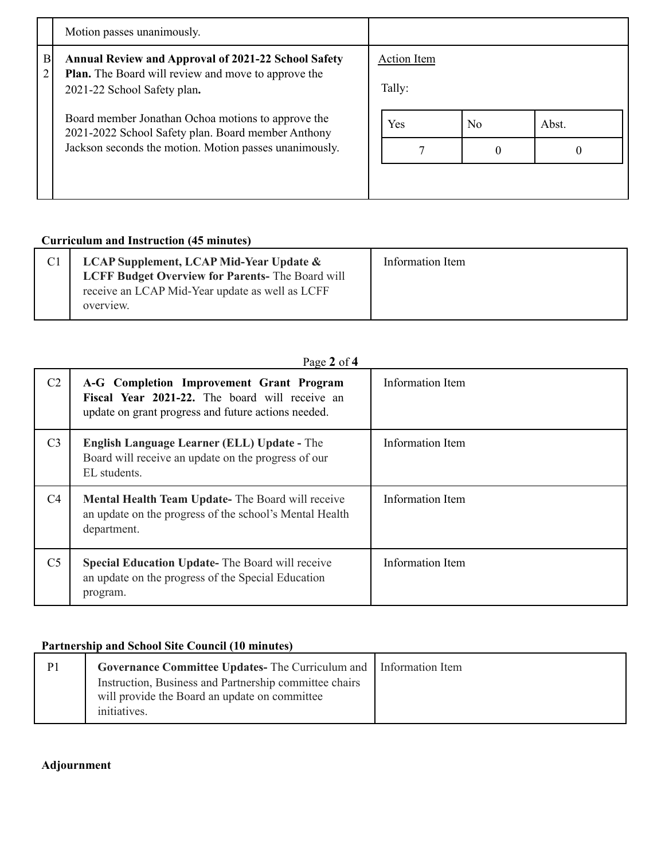| Motion passes unanimously.                                                                                                                                                                             |                                                            |                |          |
|--------------------------------------------------------------------------------------------------------------------------------------------------------------------------------------------------------|------------------------------------------------------------|----------------|----------|
| B<br><b>Annual Review and Approval of 2021-22 School Safety</b>                                                                                                                                        |                                                            |                |          |
| 2<br>2021-22 School Safety plan.<br>Board member Jonathan Ochoa motions to approve the<br>2021-2022 School Safety plan. Board member Anthony<br>Jackson seconds the motion. Motion passes unanimously. | Tally:                                                     |                |          |
|                                                                                                                                                                                                        | <b>Yes</b>                                                 | N <sub>0</sub> | Abst.    |
|                                                                                                                                                                                                        |                                                            | $\Omega$       | $\theta$ |
|                                                                                                                                                                                                        |                                                            |                |          |
|                                                                                                                                                                                                        | <b>Plan.</b> The Board will review and move to approve the | Action Item    |          |

## **Curriculum and Instruction (45 minutes)**

| <b>LCAP Supplement, LCAP Mid-Year Update &amp;</b>     | Information Item |
|--------------------------------------------------------|------------------|
| <b>LCFF Budget Overview for Parents-The Board will</b> |                  |
| receive an LCAP Mid-Year update as well as LCFF        |                  |
| overview.                                              |                  |
|                                                        |                  |

| C <sub>2</sub> | A-G Completion Improvement Grant Program<br>Fiscal Year 2021-22. The board will receive an<br>update on grant progress and future actions needed. | Information Item |
|----------------|---------------------------------------------------------------------------------------------------------------------------------------------------|------------------|
| C <sub>3</sub> | <b>English Language Learner (ELL) Update - The</b><br>Board will receive an update on the progress of our<br>EL students.                         | Information Item |
| C <sub>4</sub> | <b>Mental Health Team Update-</b> The Board will receive<br>an update on the progress of the school's Mental Health<br>department.                | Information Item |
| C <sub>5</sub> | <b>Special Education Update-</b> The Board will receive<br>an update on the progress of the Special Education<br>program.                         | Information Item |

## **Partnership and School Site Council (10 minutes)**

| P <sub>1</sub> | <b>Governance Committee Updates-</b> The Curriculum and Information Item                                |  |
|----------------|---------------------------------------------------------------------------------------------------------|--|
|                | Instruction, Business and Partnership committee chairs<br>will provide the Board an update on committee |  |
|                | initiatives.                                                                                            |  |

## **Adjournment**